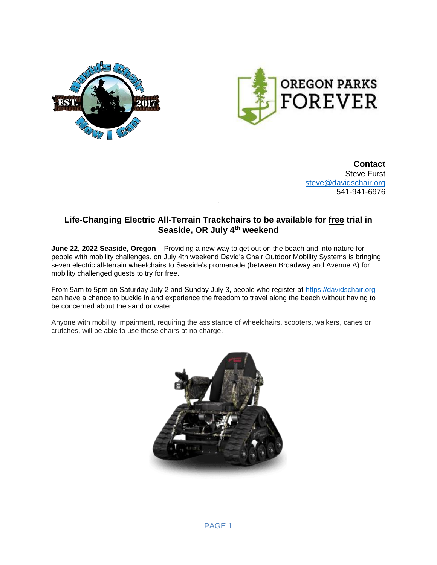



**Contact** Steve Furst [steve@davidschair.org](mailto:steve@davidschair.org) 541-941-6976

## **Life-Changing Electric All-Terrain Trackchairs to be available for free trial in Seaside, OR July 4th weekend**

.

**June 22, 2022 Seaside, Oregon** – Providing a new way to get out on the beach and into nature for people with mobility challenges, on July 4th weekend David's Chair Outdoor Mobility Systems is bringing seven electric all-terrain wheelchairs to Seaside's promenade (between Broadway and Avenue A) for mobility challenged guests to try for free.

From 9am to 5pm on Saturday July 2 and Sunday July 3, people who register at [https://davidschair.org](https://davidschair.org/state-of-oregon-chair-reservation/) can have a chance to buckle in and experience the freedom to travel along the beach without having to be concerned about the sand or water.

Anyone with mobility impairment, requiring the assistance of wheelchairs, scooters, walkers, canes or crutches, will be able to use these chairs at no charge.